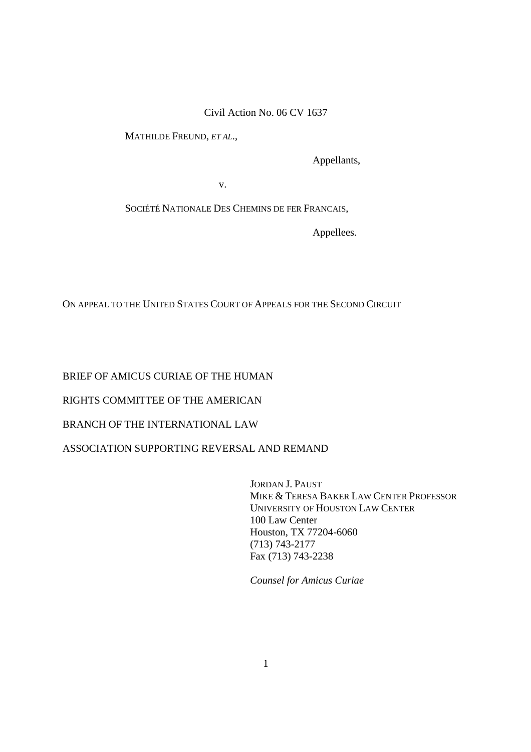Civil Action No. 06 CV 1637

MATHILDE FREUND, *ET AL*.,

Appellants,

v.

SOCIÉTÉ NATIONALE DES CHEMINS DE FER FRANCAIS,

Appellees.

ON APPEAL TO THE UNITED STATES COURT OF APPEALS FOR THE SECOND CIRCUIT

BRIEF OF AMICUS CURIAE OF THE HUMAN

RIGHTS COMMITTEE OF THE AMERICAN

BRANCH OF THE INTERNATIONAL LAW

ASSOCIATION SUPPORTING REVERSAL AND REMAND

 JORDAN J. PAUST MIKE & TERESA BAKER LAW CENTER PROFESSOR UNIVERSITY OF HOUSTON LAW CENTER 100 Law Center Houston, TX 77204-6060 (713) 743-2177 Fax (713) 743-2238

*Counsel for Amicus Curiae*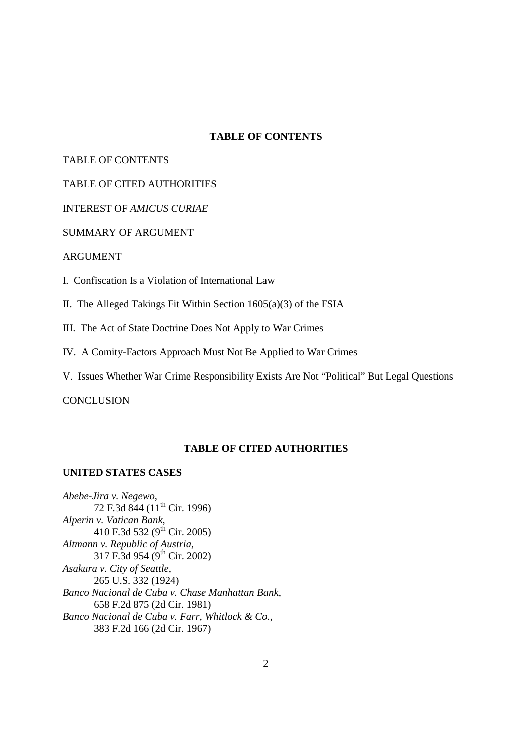## **TABLE OF CONTENTS**

## TABLE OF CONTENTS

# TABLE OF CITED AUTHORITIES

INTEREST OF *AMICUS CURIAE*

# SUMMARY OF ARGUMENT

#### ARGUMENT

- I. Confiscation Is a Violation of International Law
- II. The Alleged Takings Fit Within Section 1605(a)(3) of the FSIA
- III. The Act of State Doctrine Does Not Apply to War Crimes
- IV. A Comity-Factors Approach Must Not Be Applied to War Crimes
- V. Issues Whether War Crime Responsibility Exists Are Not "Political" But Legal Questions

**CONCLUSION** 

# **TABLE OF CITED AUTHORITIES**

#### **UNITED STATES CASES**

*Abebe-Jira v. Negewo*, 72 F.3d 844 (11<sup>th</sup> Cir. 1996) *Alperin v. Vatican Bank*, 410 F.3d 532 ( $9^{\text{th}}$  Cir. 2005) *Altmann v. Republic of Austria*, 317 F.3d 954 ( $9^{th}$  Cir. 2002) *Asakura v. City of Seattle*, 265 U.S. 332 (1924) *Banco Nacional de Cuba v. Chase Manhattan Bank*, 658 F.2d 875 (2d Cir. 1981) *Banco Nacional de Cuba v. Farr, Whitlock & Co.*, 383 F.2d 166 (2d Cir. 1967)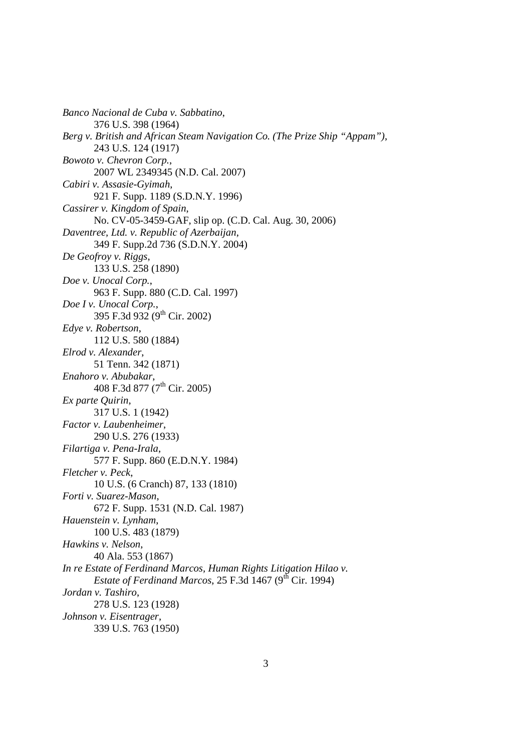*Banco Nacional de Cuba v. Sabbatino*, 376 U.S. 398 (1964) *Berg v. British and African Steam Navigation Co. (The Prize Ship "Appam")*, 243 U.S. 124 (1917) *Bowoto v. Chevron Corp.*, 2007 WL 2349345 (N.D. Cal. 2007) *Cabiri v. Assasie-Gyimah*, 921 F. Supp. 1189 (S.D.N.Y. 1996) *Cassirer v. Kingdom of Spain*, No. CV-05-3459-GAF, slip op. (C.D. Cal. Aug. 30, 2006) *Daventree, Ltd. v. Republic of Azerbaijan*, 349 F. Supp.2d 736 (S.D.N.Y. 2004) *De Geofroy v. Riggs*, 133 U.S. 258 (1890) *Doe v. Unocal Corp.*, 963 F. Supp. 880 (C.D. Cal. 1997) *Doe I v. Unocal Corp.*, 395 F.3d 932 (9th Cir. 2002) *Edye v. Robertson*, 112 U.S. 580 (1884) *Elrod v. Alexander*, 51 Tenn. 342 (1871) *Enahoro v. Abubakar*, 408 F.3d 877 (7<sup>th</sup> Cir. 2005) *Ex parte Quirin*, 317 U.S. 1 (1942) *Factor v. Laubenheimer*, 290 U.S. 276 (1933) *Filartiga v. Pena-Irala*, 577 F. Supp. 860 (E.D.N.Y. 1984) *Fletcher v. Peck*, 10 U.S. (6 Cranch) 87, 133 (1810) *Forti v. Suarez-Mason*, 672 F. Supp. 1531 (N.D. Cal. 1987) *Hauenstein v. Lynham*, 100 U.S. 483 (1879) *Hawkins v. Nelson*, 40 Ala. 553 (1867) *In re Estate of Ferdinand Marcos, Human Rights Litigation Hilao v. Estate of Ferdinand Marcos*, 25 F.3d 1467 ( $9<sup>th</sup>$  Cir. 1994) *Jordan v. Tashiro*, 278 U.S. 123 (1928) *Johnson v. Eisentrager*, 339 U.S. 763 (1950)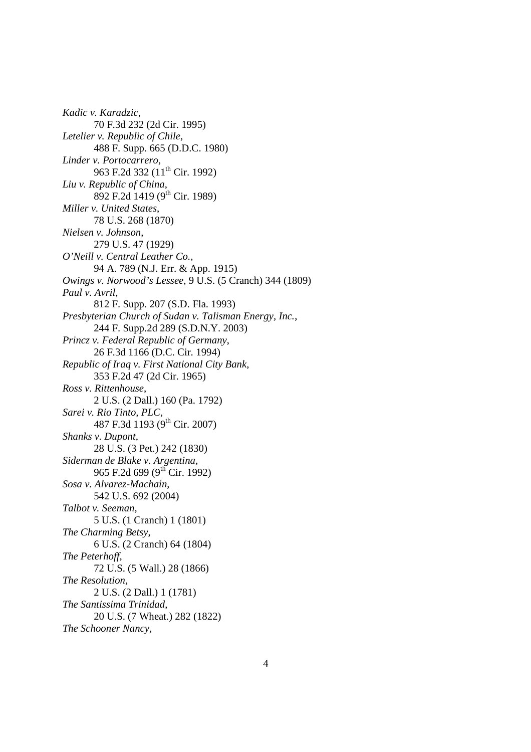*Kadic v. Karadzic*, 70 F.3d 232 (2d Cir. 1995) *Letelier v. Republic of Chile*, 488 F. Supp. 665 (D.D.C. 1980) *Linder v. Portocarrero*, 963 F.2d 332 (11<sup>th</sup> Cir. 1992) *Liu v. Republic of China*, 892 F.2d 1419 (9<sup>th</sup> Cir. 1989) *Miller v. United States*, 78 U.S. 268 (1870) *Nielsen v. Johnson*, 279 U.S. 47 (1929) *O'Neill v. Central Leather Co.*, 94 A. 789 (N.J. Err. & App. 1915) *Owings v. Norwood's Lessee*, 9 U.S. (5 Cranch) 344 (1809) *Paul v. Avril*, 812 F. Supp. 207 (S.D. Fla. 1993) *Presbyterian Church of Sudan v. Talisman Energy, Inc.*, 244 F. Supp.2d 289 (S.D.N.Y. 2003) *Princz v. Federal Republic of Germany*, 26 F.3d 1166 (D.C. Cir. 1994) *Republic of Iraq v. First National City Bank*, 353 F.2d 47 (2d Cir. 1965) *Ross v. Rittenhouse*, 2 U.S. (2 Dall.) 160 (Pa. 1792) *Sarei v. Rio Tinto, PLC*, 487 F.3d 1193 (9<sup>th</sup> Cir. 2007) *Shanks v. Dupont*, 28 U.S. (3 Pet.) 242 (1830) *Siderman de Blake v. Argentina*, 965 F.2d 699 (9<sup>th</sup> Cir. 1992) *Sosa v. Alvarez-Machain*, 542 U.S. 692 (2004) *Talbot v. Seeman*, 5 U.S. (1 Cranch) 1 (1801) *The Charming Betsy*, 6 U.S. (2 Cranch) 64 (1804) *The Peterhoff*, 72 U.S. (5 Wall.) 28 (1866) *The Resolution*, 2 U.S. (2 Dall.) 1 (1781) *The Santissima Trinidad*, 20 U.S. (7 Wheat.) 282 (1822) *The Schooner Nancy*,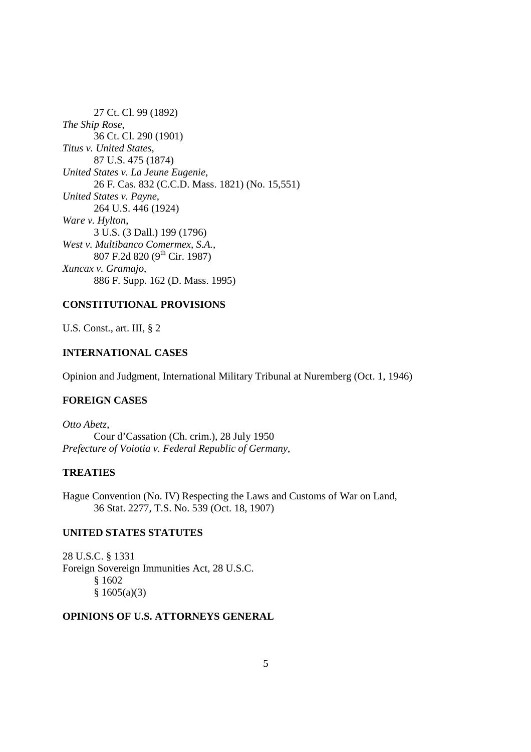27 Ct. Cl. 99 (1892) *The Ship Rose*, 36 Ct. Cl. 290 (1901) *Titus v. United States*, 87 U.S. 475 (1874) *United States v. La Jeune Eugenie*, 26 F. Cas. 832 (C.C.D. Mass. 1821) (No. 15,551) *United States v. Payne*, 264 U.S. 446 (1924) *Ware v. Hylton*, 3 U.S. (3 Dall.) 199 (1796) *West v. Multibanco Comermex, S.A.*, 807 F.2d 820 (9th Cir. 1987) *Xuncax v. Gramajo*, 886 F. Supp. 162 (D. Mass. 1995)

# **CONSTITUTIONAL PROVISIONS**

U.S. Const., art. III, § 2

# **INTERNATIONAL CASES**

Opinion and Judgment, International Military Tribunal at Nuremberg (Oct. 1, 1946)

# **FOREIGN CASES**

*Otto Abetz*, Cour d'Cassation (Ch. crim.), 28 July 1950 *Prefecture of Voiotia v. Federal Republic of Germany*,

# **TREATIES**

Hague Convention (No. IV) Respecting the Laws and Customs of War on Land, 36 Stat. 2277, T.S. No. 539 (Oct. 18, 1907)

# **UNITED STATES STATUTES**

28 U.S.C. § 1331 Foreign Sovereign Immunities Act, 28 U.S.C. § 1602  $§ 1605(a)(3)$ 

# **OPINIONS OF U.S. ATTORNEYS GENERAL**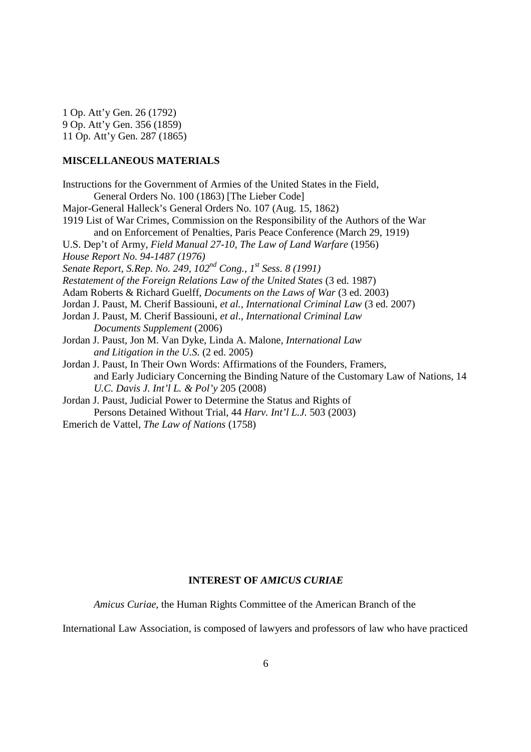1 Op. Att'y Gen. 26 (1792) 9 Op. Att'y Gen. 356 (1859) 11 Op. Att'y Gen. 287 (1865)

## **MISCELLANEOUS MATERIALS**

Instructions for the Government of Armies of the United States in the Field, General Orders No. 100 (1863) [The Lieber Code] Major-General Halleck's General Orders No. 107 (Aug. 15, 1862) 1919 List of War Crimes, Commission on the Responsibility of the Authors of the War and on Enforcement of Penalties, Paris Peace Conference (March 29, 1919) U.S. Dep't of Army, *Field Manual 27-10, The Law of Land Warfare* (1956) *House Report No. 94-1487 (1976) Senate Report, S.Rep. No. 249, 102nd Cong., 1st Sess. 8 (1991) Restatement of the Foreign Relations Law of the United States* (3 ed. 1987) Adam Roberts & Richard Guelff, *Documents on the Laws of War* (3 ed. 2003) Jordan J. Paust, M. Cherif Bassiouni, *et al.*, *International Criminal Law* (3 ed. 2007) Jordan J. Paust, M. Cherif Bassiouni, *et al*., *International Criminal Law Documents Supplement* (2006) Jordan J. Paust, Jon M. Van Dyke, Linda A. Malone, *International Law and Litigation in the U.S.* (2 ed. 2005) Jordan J. Paust, In Their Own Words: Affirmations of the Founders, Framers, and Early Judiciary Concerning the Binding Nature of the Customary Law of Nations, 14  *U.C. Davis J. Int'l L. & Pol'y* 205 (2008) Jordan J. Paust, Judicial Power to Determine the Status and Rights of Persons Detained Without Trial, 44 *Harv. Int'l L.J.* 503 (2003)

Emerich de Vattel, *The Law of Nations* (1758)

#### **INTEREST OF** *AMICUS CURIAE*

*Amicus Curiae*, the Human Rights Committee of the American Branch of the

International Law Association, is composed of lawyers and professors of law who have practiced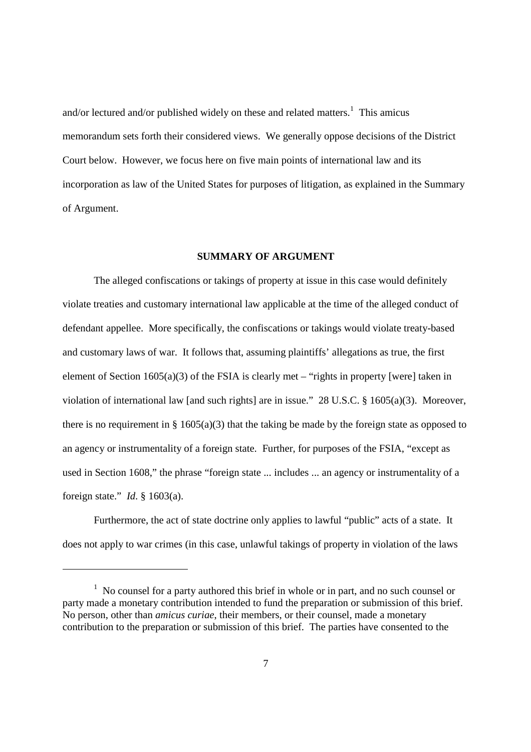and/or lectured and/or published widely on these and related matters.<sup>1</sup> This amicus memorandum sets forth their considered views. We generally oppose decisions of the District Court below. However, we focus here on five main points of international law and its incorporation as law of the United States for purposes of litigation, as explained in the Summary of Argument.

#### **SUMMARY OF ARGUMENT**

 The alleged confiscations or takings of property at issue in this case would definitely violate treaties and customary international law applicable at the time of the alleged conduct of defendant appellee. More specifically, the confiscations or takings would violate treaty-based and customary laws of war. It follows that, assuming plaintiffs' allegations as true, the first element of Section  $1605(a)(3)$  of the FSIA is clearly met – "rights in property [were] taken in violation of international law [and such rights] are in issue." 28 U.S.C. § 1605(a)(3). Moreover, there is no requirement in §  $1605(a)(3)$  that the taking be made by the foreign state as opposed to an agency or instrumentality of a foreign state. Further, for purposes of the FSIA, "except as used in Section 1608," the phrase "foreign state ... includes ... an agency or instrumentality of a foreign state." *Id*. § 1603(a).

 Furthermore, the act of state doctrine only applies to lawful "public" acts of a state. It does not apply to war crimes (in this case, unlawful takings of property in violation of the laws

-

<sup>&</sup>lt;sup>1</sup> No counsel for a party authored this brief in whole or in part, and no such counsel or party made a monetary contribution intended to fund the preparation or submission of this brief. No person, other than *amicus curiae*, their members, or their counsel, made a monetary contribution to the preparation or submission of this brief. The parties have consented to the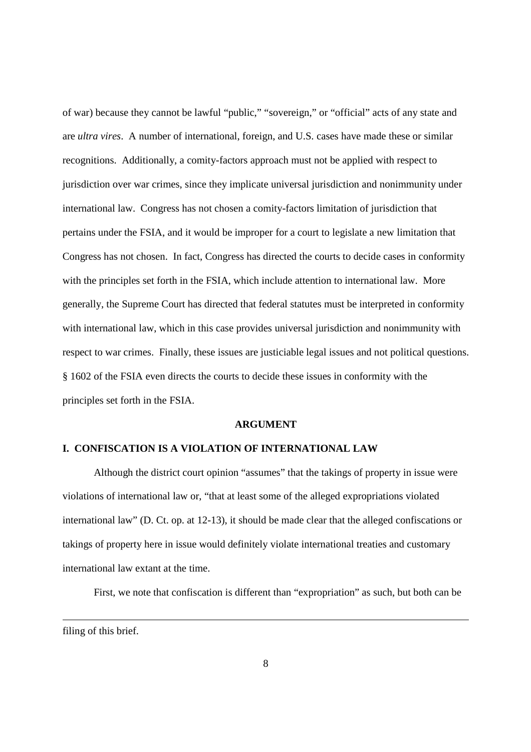of war) because they cannot be lawful "public," "sovereign," or "official" acts of any state and are *ultra vires*. A number of international, foreign, and U.S. cases have made these or similar recognitions. Additionally, a comity-factors approach must not be applied with respect to jurisdiction over war crimes, since they implicate universal jurisdiction and nonimmunity under international law. Congress has not chosen a comity-factors limitation of jurisdiction that pertains under the FSIA, and it would be improper for a court to legislate a new limitation that Congress has not chosen. In fact, Congress has directed the courts to decide cases in conformity with the principles set forth in the FSIA, which include attention to international law. More generally, the Supreme Court has directed that federal statutes must be interpreted in conformity with international law, which in this case provides universal jurisdiction and nonimmunity with respect to war crimes. Finally, these issues are justiciable legal issues and not political questions. § 1602 of the FSIA even directs the courts to decide these issues in conformity with the principles set forth in the FSIA.

#### **ARGUMENT**

## **I. CONFISCATION IS A VIOLATION OF INTERNATIONAL LAW**

Although the district court opinion "assumes" that the takings of property in issue were violations of international law or, "that at least some of the alleged expropriations violated international law" (D. Ct. op. at 12-13), it should be made clear that the alleged confiscations or takings of property here in issue would definitely violate international treaties and customary international law extant at the time.

First, we note that confiscation is different than "expropriation" as such, but both can be

filing of this brief.

-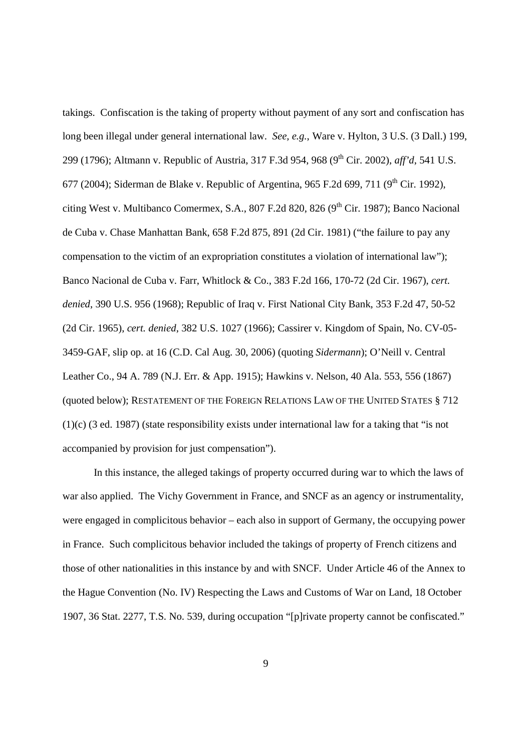takings. Confiscation is the taking of property without payment of any sort and confiscation has long been illegal under general international law. *See, e.g.*, Ware v. Hylton, 3 U.S. (3 Dall.) 199, 299 (1796); Altmann v. Republic of Austria, 317 F.3d 954, 968 (9<sup>th</sup> Cir. 2002), *aff'd*, 541 U.S. 677 (2004); Siderman de Blake v. Republic of Argentina, 965 F.2d 699, 711 (9<sup>th</sup> Cir. 1992), citing West v. Multibanco Comermex, S.A., 807 F.2d 820, 826  $(9<sup>th</sup> Cir, 1987)$ ; Banco Nacional de Cuba v. Chase Manhattan Bank, 658 F.2d 875, 891 (2d Cir. 1981) ("the failure to pay any compensation to the victim of an expropriation constitutes a violation of international law"); Banco Nacional de Cuba v. Farr, Whitlock & Co., 383 F.2d 166, 170-72 (2d Cir. 1967), *cert. denied*, 390 U.S. 956 (1968); Republic of Iraq v. First National City Bank, 353 F.2d 47, 50-52 (2d Cir. 1965), *cert. denied*, 382 U.S. 1027 (1966); Cassirer v. Kingdom of Spain, No. CV-05- 3459-GAF, slip op. at 16 (C.D. Cal Aug. 30, 2006) (quoting *Sidermann*); O'Neill v. Central Leather Co., 94 A. 789 (N.J. Err. & App. 1915); Hawkins v. Nelson, 40 Ala. 553, 556 (1867) (quoted below); RESTATEMENT OF THE FOREIGN RELATIONS LAW OF THE UNITED STATES § 712 (1)(c) (3 ed. 1987) (state responsibility exists under international law for a taking that "is not accompanied by provision for just compensation").

 In this instance, the alleged takings of property occurred during war to which the laws of war also applied. The Vichy Government in France, and SNCF as an agency or instrumentality, were engaged in complicitous behavior – each also in support of Germany, the occupying power in France. Such complicitous behavior included the takings of property of French citizens and those of other nationalities in this instance by and with SNCF. Under Article 46 of the Annex to the Hague Convention (No. IV) Respecting the Laws and Customs of War on Land, 18 October 1907, 36 Stat. 2277, T.S. No. 539, during occupation "[p]rivate property cannot be confiscated."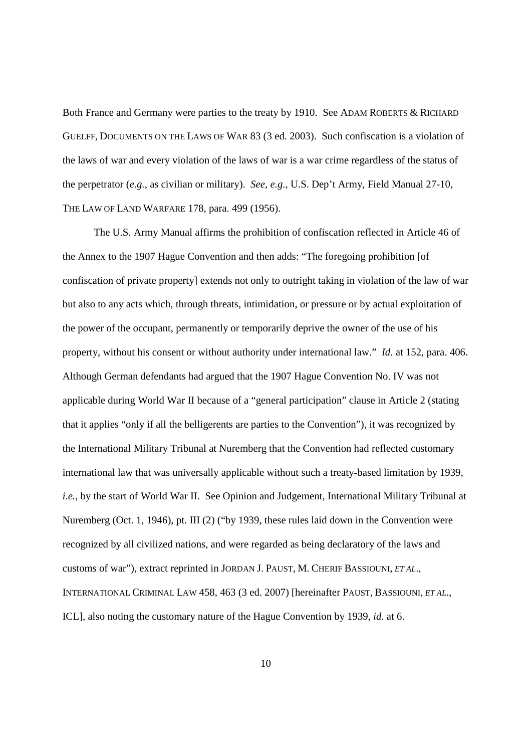Both France and Germany were parties to the treaty by 1910. See ADAM ROBERTS & RICHARD GUELFF, DOCUMENTS ON THE LAWS OF WAR 83 (3 ed. 2003). Such confiscation is a violation of the laws of war and every violation of the laws of war is a war crime regardless of the status of the perpetrator (*e.g.*, as civilian or military). *See, e.g.*, U.S. Dep't Army, Field Manual 27-10, THE LAW OF LAND WARFARE 178, para. 499 (1956).

 The U.S. Army Manual affirms the prohibition of confiscation reflected in Article 46 of the Annex to the 1907 Hague Convention and then adds: "The foregoing prohibition [of confiscation of private property] extends not only to outright taking in violation of the law of war but also to any acts which, through threats, intimidation, or pressure or by actual exploitation of the power of the occupant, permanently or temporarily deprive the owner of the use of his property, without his consent or without authority under international law." *Id*. at 152, para. 406. Although German defendants had argued that the 1907 Hague Convention No. IV was not applicable during World War II because of a "general participation" clause in Article 2 (stating that it applies "only if all the belligerents are parties to the Convention"), it was recognized by the International Military Tribunal at Nuremberg that the Convention had reflected customary international law that was universally applicable without such a treaty-based limitation by 1939, *i.e.*, by the start of World War II. See Opinion and Judgement, International Military Tribunal at Nuremberg (Oct. 1, 1946), pt. III (2) ("by 1939, these rules laid down in the Convention were recognized by all civilized nations, and were regarded as being declaratory of the laws and customs of war"), extract reprinted in JORDAN J. PAUST, M. CHERIF BASSIOUNI, *ET AL*., INTERNATIONAL CRIMINAL LAW 458, 463 (3 ed. 2007) [hereinafter PAUST, BASSIOUNI, *ET AL*., ICL], also noting the customary nature of the Hague Convention by 1939, *id*. at 6.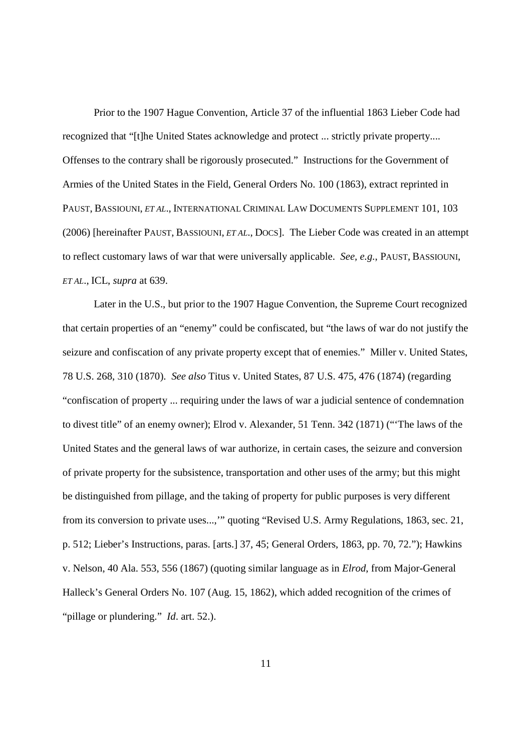Prior to the 1907 Hague Convention, Article 37 of the influential 1863 Lieber Code had recognized that "[t]he United States acknowledge and protect ... strictly private property.... Offenses to the contrary shall be rigorously prosecuted." Instructions for the Government of Armies of the United States in the Field, General Orders No. 100 (1863), extract reprinted in PAUST, BASSIOUNI, *ET AL*., INTERNATIONAL CRIMINAL LAW DOCUMENTS SUPPLEMENT 101, 103 (2006) [hereinafter PAUST, BASSIOUNI, *ET AL*., DOCS]. The Lieber Code was created in an attempt to reflect customary laws of war that were universally applicable. *See, e.g.*, PAUST, BASSIOUNI, *ET AL*., ICL, *supra* at 639.

 Later in the U.S., but prior to the 1907 Hague Convention, the Supreme Court recognized that certain properties of an "enemy" could be confiscated, but "the laws of war do not justify the seizure and confiscation of any private property except that of enemies." Miller v. United States, 78 U.S. 268, 310 (1870). *See also* Titus v. United States, 87 U.S. 475, 476 (1874) (regarding "confiscation of property ... requiring under the laws of war a judicial sentence of condemnation to divest title" of an enemy owner); Elrod v. Alexander, 51 Tenn. 342 (1871) ("'The laws of the United States and the general laws of war authorize, in certain cases, the seizure and conversion of private property for the subsistence, transportation and other uses of the army; but this might be distinguished from pillage, and the taking of property for public purposes is very different from its conversion to private uses...,'" quoting "Revised U.S. Army Regulations, 1863, sec. 21, p. 512; Lieber's Instructions, paras. [arts.] 37, 45; General Orders, 1863, pp. 70, 72."); Hawkins v. Nelson, 40 Ala. 553, 556 (1867) (quoting similar language as in *Elrod*, from Major-General Halleck's General Orders No. 107 (Aug. 15, 1862), which added recognition of the crimes of "pillage or plundering." *Id.* art. 52.).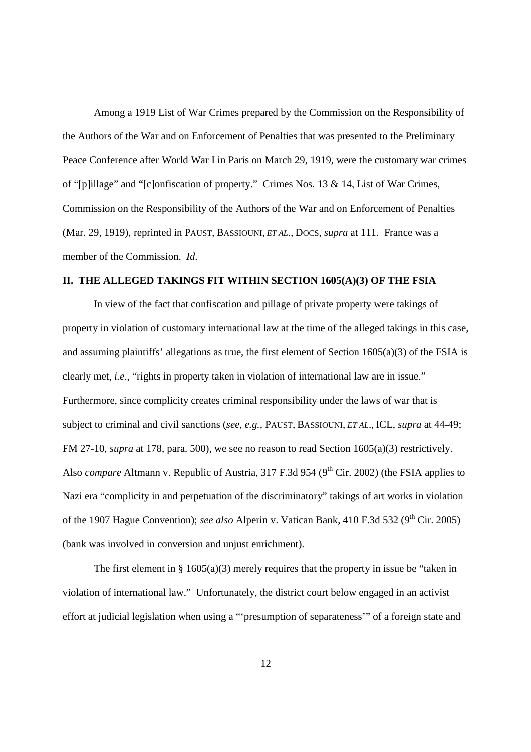Among a 1919 List of War Crimes prepared by the Commission on the Responsibility of the Authors of the War and on Enforcement of Penalties that was presented to the Preliminary Peace Conference after World War I in Paris on March 29, 1919, were the customary war crimes of "[p]illage" and "[c]onfiscation of property." Crimes Nos. 13 & 14, List of War Crimes, Commission on the Responsibility of the Authors of the War and on Enforcement of Penalties (Mar. 29, 1919), reprinted in PAUST, BASSIOUNI, *ET AL*., DOCS, *supra* at 111. France was a member of the Commission. *Id*.

## **II. THE ALLEGED TAKINGS FIT WITHIN SECTION 1605(A)(3) OF THE FSIA**

 In view of the fact that confiscation and pillage of private property were takings of property in violation of customary international law at the time of the alleged takings in this case, and assuming plaintiffs' allegations as true, the first element of Section 1605(a)(3) of the FSIA is clearly met, *i.e.*, "rights in property taken in violation of international law are in issue." Furthermore, since complicity creates criminal responsibility under the laws of war that is subject to criminal and civil sanctions (*see, e.g.*, PAUST, BASSIOUNI, *ET AL*., ICL, *supra* at 44-49; FM 27-10, *supra* at 178, para. 500), we see no reason to read Section 1605(a)(3) restrictively. Also *compare* Altmann v. Republic of Austria, 317 F.3d 954 (9<sup>th</sup> Cir. 2002) (the FSIA applies to Nazi era "complicity in and perpetuation of the discriminatory" takings of art works in violation of the 1907 Hague Convention); *see also* Alperin v. Vatican Bank, 410 F.3d 532 (9<sup>th</sup> Cir. 2005) (bank was involved in conversion and unjust enrichment).

The first element in §  $1605(a)(3)$  merely requires that the property in issue be "taken in violation of international law." Unfortunately, the district court below engaged in an activist effort at judicial legislation when using a "'presumption of separateness'" of a foreign state and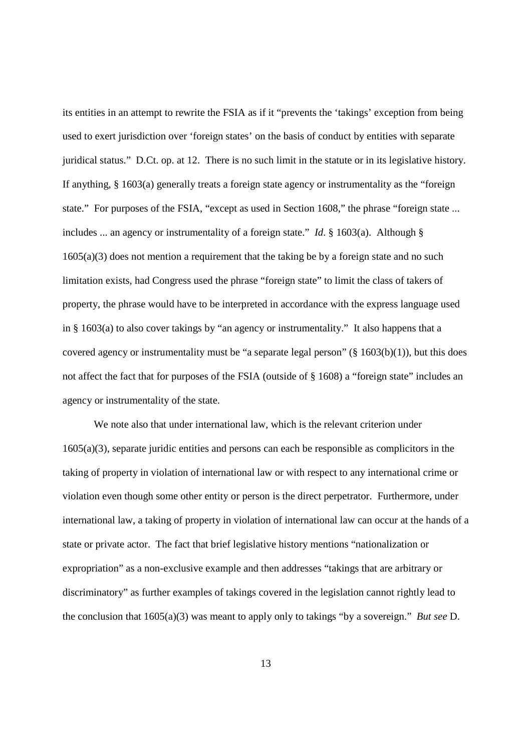its entities in an attempt to rewrite the FSIA as if it "prevents the 'takings' exception from being used to exert jurisdiction over 'foreign states' on the basis of conduct by entities with separate juridical status." D.Ct. op. at 12. There is no such limit in the statute or in its legislative history. If anything, § 1603(a) generally treats a foreign state agency or instrumentality as the "foreign state." For purposes of the FSIA, "except as used in Section 1608," the phrase "foreign state ... includes ... an agency or instrumentality of a foreign state." *Id*. § 1603(a). Although § 1605(a)(3) does not mention a requirement that the taking be by a foreign state and no such limitation exists, had Congress used the phrase "foreign state" to limit the class of takers of property, the phrase would have to be interpreted in accordance with the express language used in § 1603(a) to also cover takings by "an agency or instrumentality." It also happens that a covered agency or instrumentality must be "a separate legal person" ( $\S$  1603(b)(1)), but this does not affect the fact that for purposes of the FSIA (outside of § 1608) a "foreign state" includes an agency or instrumentality of the state.

 We note also that under international law, which is the relevant criterion under 1605(a)(3), separate juridic entities and persons can each be responsible as complicitors in the taking of property in violation of international law or with respect to any international crime or violation even though some other entity or person is the direct perpetrator. Furthermore, under international law, a taking of property in violation of international law can occur at the hands of a state or private actor. The fact that brief legislative history mentions "nationalization or expropriation" as a non-exclusive example and then addresses "takings that are arbitrary or discriminatory" as further examples of takings covered in the legislation cannot rightly lead to the conclusion that 1605(a)(3) was meant to apply only to takings "by a sovereign." *But see* D.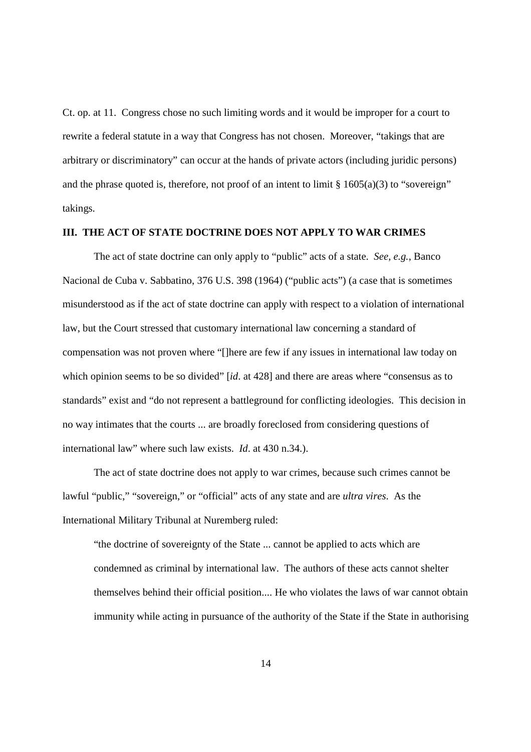Ct. op. at 11. Congress chose no such limiting words and it would be improper for a court to rewrite a federal statute in a way that Congress has not chosen. Moreover, "takings that are arbitrary or discriminatory" can occur at the hands of private actors (including juridic persons) and the phrase quoted is, therefore, not proof of an intent to limit  $\S 1605(a)(3)$  to "sovereign" takings.

## **III. THE ACT OF STATE DOCTRINE DOES NOT APPLY TO WAR CRIMES**

 The act of state doctrine can only apply to "public" acts of a state. *See, e.g.*, Banco Nacional de Cuba v. Sabbatino, 376 U.S. 398 (1964) ("public acts") (a case that is sometimes misunderstood as if the act of state doctrine can apply with respect to a violation of international law, but the Court stressed that customary international law concerning a standard of compensation was not proven where "[]here are few if any issues in international law today on which opinion seems to be so divided" [*id.* at 428] and there are areas where "consensus as to standards" exist and "do not represent a battleground for conflicting ideologies. This decision in no way intimates that the courts ... are broadly foreclosed from considering questions of international law" where such law exists. *Id*. at 430 n.34.).

 The act of state doctrine does not apply to war crimes, because such crimes cannot be lawful "public," "sovereign," or "official" acts of any state and are *ultra vires*. As the International Military Tribunal at Nuremberg ruled:

"the doctrine of sovereignty of the State ... cannot be applied to acts which are condemned as criminal by international law. The authors of these acts cannot shelter themselves behind their official position.... He who violates the laws of war cannot obtain immunity while acting in pursuance of the authority of the State if the State in authorising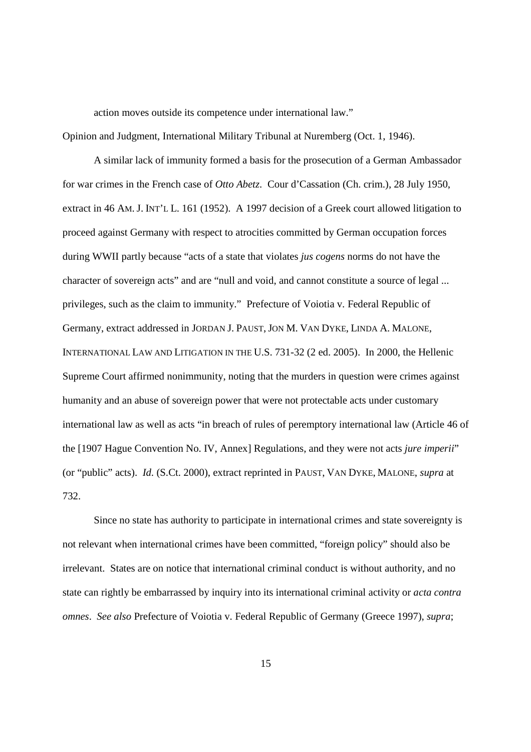action moves outside its competence under international law."

Opinion and Judgment, International Military Tribunal at Nuremberg (Oct. 1, 1946).

 A similar lack of immunity formed a basis for the prosecution of a German Ambassador for war crimes in the French case of *Otto Abetz*. Cour d'Cassation (Ch. crim.), 28 July 1950, extract in 46 AM. J. INT'L L. 161 (1952). A 1997 decision of a Greek court allowed litigation to proceed against Germany with respect to atrocities committed by German occupation forces during WWII partly because "acts of a state that violates *jus cogens* norms do not have the character of sovereign acts" and are "null and void, and cannot constitute a source of legal ... privileges, such as the claim to immunity." Prefecture of Voiotia v. Federal Republic of Germany, extract addressed in JORDAN J. PAUST,JON M. VAN DYKE, LINDA A. MALONE, INTERNATIONAL LAW AND LITIGATION IN THE U.S. 731-32 (2 ed. 2005). In 2000, the Hellenic Supreme Court affirmed nonimmunity, noting that the murders in question were crimes against humanity and an abuse of sovereign power that were not protectable acts under customary international law as well as acts "in breach of rules of peremptory international law (Article 46 of the [1907 Hague Convention No. IV, Annex] Regulations, and they were not acts *jure imperii*" (or "public" acts). *Id*. (S.Ct. 2000), extract reprinted in PAUST, VAN DYKE, MALONE, *supra* at 732.

 Since no state has authority to participate in international crimes and state sovereignty is not relevant when international crimes have been committed, "foreign policy" should also be irrelevant. States are on notice that international criminal conduct is without authority, and no state can rightly be embarrassed by inquiry into its international criminal activity or *acta contra omnes*. *See also* Prefecture of Voiotia v. Federal Republic of Germany (Greece 1997), *supra*;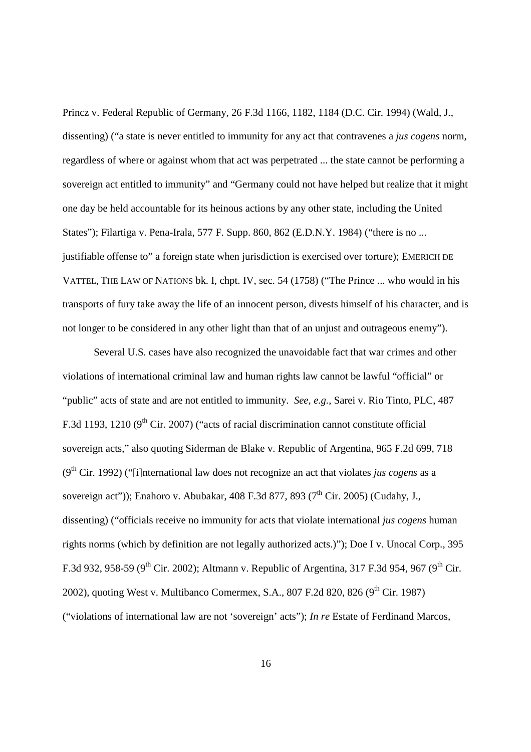Princz v. Federal Republic of Germany, 26 F.3d 1166, 1182, 1184 (D.C. Cir. 1994) (Wald, J., dissenting) ("a state is never entitled to immunity for any act that contravenes a *jus cogens* norm, regardless of where or against whom that act was perpetrated ... the state cannot be performing a sovereign act entitled to immunity" and "Germany could not have helped but realize that it might one day be held accountable for its heinous actions by any other state, including the United States"); Filartiga v. Pena-Irala, 577 F. Supp. 860, 862 (E.D.N.Y. 1984) ("there is no ... justifiable offense to" a foreign state when jurisdiction is exercised over torture); EMERICH DE VATTEL, THE LAW OF NATIONS bk. I, chpt. IV, sec. 54 (1758) ("The Prince ... who would in his transports of fury take away the life of an innocent person, divests himself of his character, and is not longer to be considered in any other light than that of an unjust and outrageous enemy").

 Several U.S. cases have also recognized the unavoidable fact that war crimes and other violations of international criminal law and human rights law cannot be lawful "official" or "public" acts of state and are not entitled to immunity. *See, e.g.*, Sarei v. Rio Tinto, PLC, 487 F.3d 1193, 1210 ( $9<sup>th</sup>$  Cir. 2007) ("acts of racial discrimination cannot constitute official sovereign acts," also quoting Siderman de Blake v. Republic of Argentina, 965 F.2d 699, 718 (9<sup>th</sup> Cir. 1992) ("[i]nternational law does not recognize an act that violates *jus cogens* as a sovereign act")); Enahoro v. Abubakar, 408 F.3d 877, 893 ( $7<sup>th</sup>$  Cir. 2005) (Cudahy, J., dissenting) ("officials receive no immunity for acts that violate international *jus cogens* human rights norms (which by definition are not legally authorized acts.)"); Doe I v. Unocal Corp., 395 F.3d 932, 958-59 (9<sup>th</sup> Cir. 2002); Altmann v. Republic of Argentina, 317 F.3d 954, 967 (9<sup>th</sup> Cir. 2002), quoting West v. Multibanco Comermex, S.A., 807 F.2d 820, 826 (9<sup>th</sup> Cir. 1987) ("violations of international law are not 'sovereign' acts"); *In re* Estate of Ferdinand Marcos,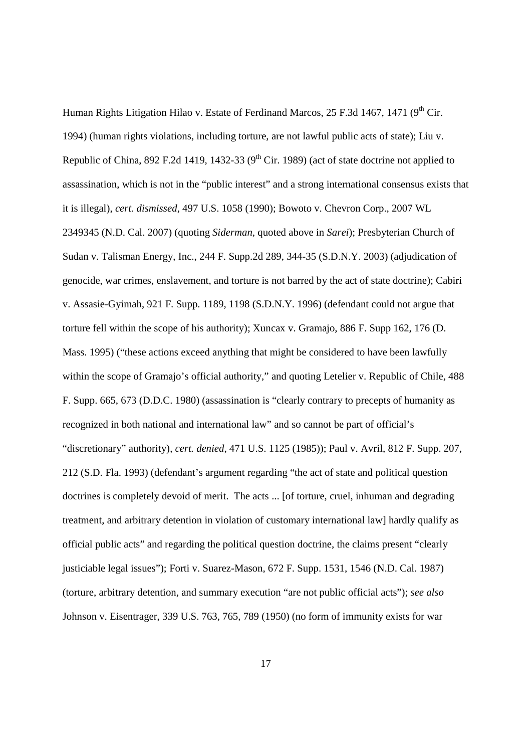Human Rights Litigation Hilao v. Estate of Ferdinand Marcos, 25 F.3d 1467, 1471 (9<sup>th</sup> Cir. 1994) (human rights violations, including torture, are not lawful public acts of state); Liu v. Republic of China, 892 F.2d 1419, 1432-33 ( $9<sup>th</sup>$  Cir. 1989) (act of state doctrine not applied to assassination, which is not in the "public interest" and a strong international consensus exists that it is illegal), *cert. dismissed*, 497 U.S. 1058 (1990); Bowoto v. Chevron Corp., 2007 WL 2349345 (N.D. Cal. 2007) (quoting *Siderman*, quoted above in *Sarei*); Presbyterian Church of Sudan v. Talisman Energy, Inc., 244 F. Supp.2d 289, 344-35 (S.D.N.Y. 2003) (adjudication of genocide, war crimes, enslavement, and torture is not barred by the act of state doctrine); Cabiri v. Assasie-Gyimah, 921 F. Supp. 1189, 1198 (S.D.N.Y. 1996) (defendant could not argue that torture fell within the scope of his authority); Xuncax v. Gramajo, 886 F. Supp 162, 176 (D. Mass. 1995) ("these actions exceed anything that might be considered to have been lawfully within the scope of Gramajo's official authority," and quoting Letelier v. Republic of Chile, 488 F. Supp. 665, 673 (D.D.C. 1980) (assassination is "clearly contrary to precepts of humanity as recognized in both national and international law" and so cannot be part of official's "discretionary" authority), *cert. denied*, 471 U.S. 1125 (1985)); Paul v. Avril, 812 F. Supp. 207, 212 (S.D. Fla. 1993) (defendant's argument regarding "the act of state and political question doctrines is completely devoid of merit. The acts ... [of torture, cruel, inhuman and degrading treatment, and arbitrary detention in violation of customary international law] hardly qualify as official public acts" and regarding the political question doctrine, the claims present "clearly justiciable legal issues"); Forti v. Suarez-Mason, 672 F. Supp. 1531, 1546 (N.D. Cal. 1987) (torture, arbitrary detention, and summary execution "are not public official acts"); *see also* Johnson v. Eisentrager, 339 U.S. 763, 765, 789 (1950) (no form of immunity exists for war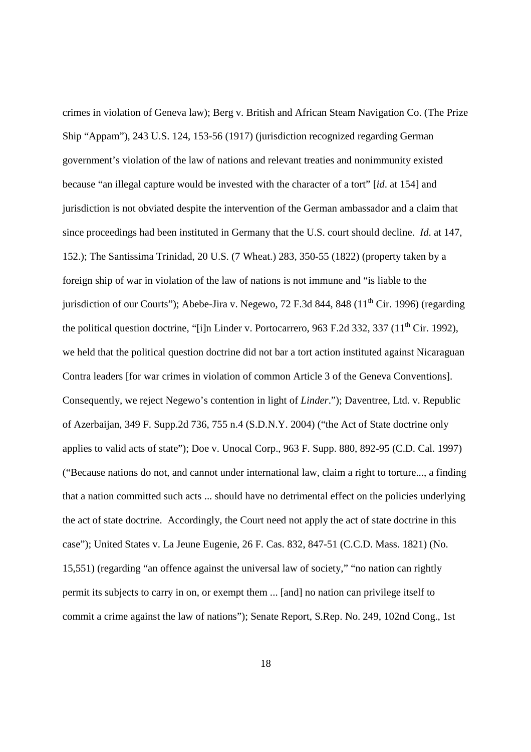crimes in violation of Geneva law); Berg v. British and African Steam Navigation Co. (The Prize Ship "Appam"), 243 U.S. 124, 153-56 (1917) (jurisdiction recognized regarding German government's violation of the law of nations and relevant treaties and nonimmunity existed because "an illegal capture would be invested with the character of a tort" [*id*. at 154] and jurisdiction is not obviated despite the intervention of the German ambassador and a claim that since proceedings had been instituted in Germany that the U.S. court should decline. *Id*. at 147, 152.); The Santissima Trinidad, 20 U.S. (7 Wheat.) 283, 350-55 (1822) (property taken by a foreign ship of war in violation of the law of nations is not immune and "is liable to the jurisdiction of our Courts"); Abebe-Jira v. Negewo, 72 F.3d 844, 848  $(11<sup>th</sup> Cir. 1996)$  (regarding the political question doctrine, "[i]n Linder v. Portocarrero, 963 F.2d 332, 337 ( $11<sup>th</sup>$  Cir. 1992), we held that the political question doctrine did not bar a tort action instituted against Nicaraguan Contra leaders [for war crimes in violation of common Article 3 of the Geneva Conventions]. Consequently, we reject Negewo's contention in light of *Linder*."); Daventree, Ltd. v. Republic of Azerbaijan, 349 F. Supp.2d 736, 755 n.4 (S.D.N.Y. 2004) ("the Act of State doctrine only applies to valid acts of state"); Doe v. Unocal Corp., 963 F. Supp. 880, 892-95 (C.D. Cal. 1997) ("Because nations do not, and cannot under international law, claim a right to torture..., a finding that a nation committed such acts ... should have no detrimental effect on the policies underlying the act of state doctrine. Accordingly, the Court need not apply the act of state doctrine in this case"); United States v. La Jeune Eugenie, 26 F. Cas. 832, 847-51 (C.C.D. Mass. 1821) (No. 15,551) (regarding "an offence against the universal law of society," "no nation can rightly permit its subjects to carry in on, or exempt them ... [and] no nation can privilege itself to commit a crime against the law of nations"); Senate Report, S.Rep. No. 249, 102nd Cong., 1st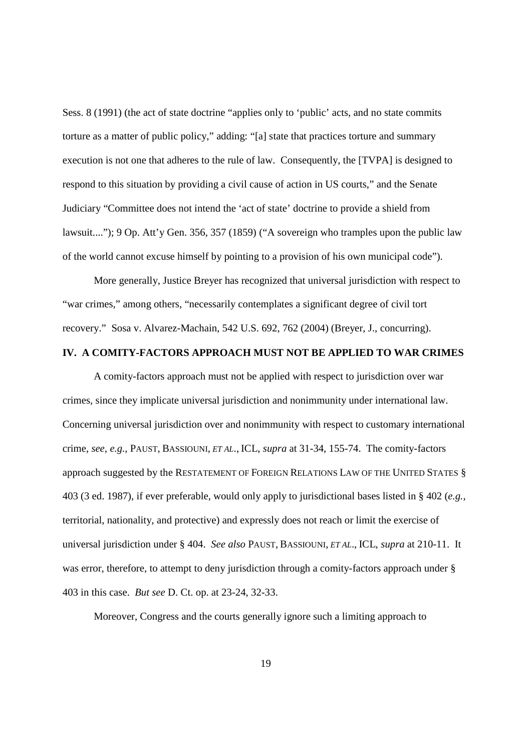Sess. 8 (1991) (the act of state doctrine "applies only to 'public' acts, and no state commits torture as a matter of public policy," adding: "[a] state that practices torture and summary execution is not one that adheres to the rule of law. Consequently, the [TVPA] is designed to respond to this situation by providing a civil cause of action in US courts," and the Senate Judiciary "Committee does not intend the 'act of state' doctrine to provide a shield from lawsuit...."); 9 Op. Att'y Gen. 356, 357 (1859) ("A sovereign who tramples upon the public law of the world cannot excuse himself by pointing to a provision of his own municipal code").

 More generally, Justice Breyer has recognized that universal jurisdiction with respect to "war crimes," among others, "necessarily contemplates a significant degree of civil tort recovery." Sosa v. Alvarez-Machain, 542 U.S. 692, 762 (2004) (Breyer, J., concurring).

## **IV. A COMITY-FACTORS APPROACH MUST NOT BE APPLIED TO WAR CRIMES**

 A comity-factors approach must not be applied with respect to jurisdiction over war crimes, since they implicate universal jurisdiction and nonimmunity under international law. Concerning universal jurisdiction over and nonimmunity with respect to customary international crime, *see, e.g.*, PAUST, BASSIOUNI, *ET AL*., ICL, *supra* at 31-34, 155-74. The comity-factors approach suggested by the RESTATEMENT OF FOREIGN RELATIONS LAW OF THE UNITED STATES § 403 (3 ed. 1987), if ever preferable, would only apply to jurisdictional bases listed in § 402 (*e.g.*, territorial, nationality, and protective) and expressly does not reach or limit the exercise of universal jurisdiction under § 404. *See also* PAUST, BASSIOUNI, *ET AL*., ICL, *supra* at 210-11. It was error, therefore, to attempt to deny jurisdiction through a comity-factors approach under § 403 in this case. *But see* D. Ct. op. at 23-24, 32-33.

Moreover, Congress and the courts generally ignore such a limiting approach to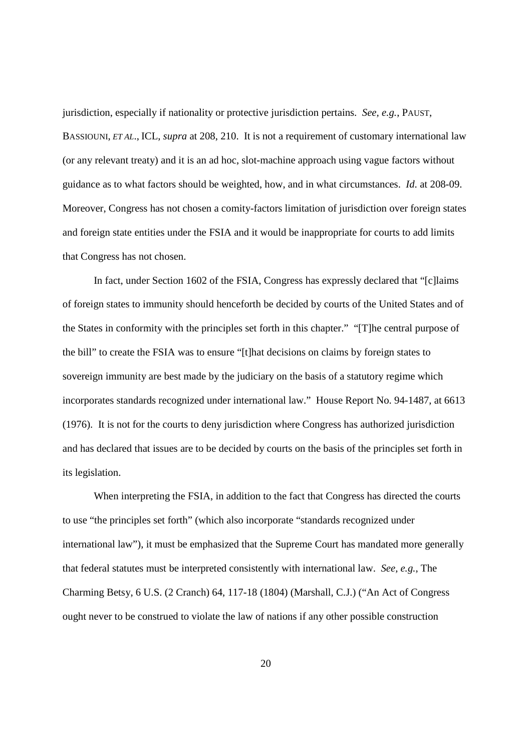jurisdiction, especially if nationality or protective jurisdiction pertains. *See, e.g.*, PAUST, BASSIOUNI, *ET AL*., ICL, *supra* at 208, 210. It is not a requirement of customary international law (or any relevant treaty) and it is an ad hoc, slot-machine approach using vague factors without guidance as to what factors should be weighted, how, and in what circumstances. *Id*. at 208-09. Moreover, Congress has not chosen a comity-factors limitation of jurisdiction over foreign states and foreign state entities under the FSIA and it would be inappropriate for courts to add limits that Congress has not chosen.

 In fact, under Section 1602 of the FSIA, Congress has expressly declared that "[c]laims of foreign states to immunity should henceforth be decided by courts of the United States and of the States in conformity with the principles set forth in this chapter." "[T]he central purpose of the bill" to create the FSIA was to ensure "[t]hat decisions on claims by foreign states to sovereign immunity are best made by the judiciary on the basis of a statutory regime which incorporates standards recognized under international law." House Report No. 94-1487, at 6613 (1976). It is not for the courts to deny jurisdiction where Congress has authorized jurisdiction and has declared that issues are to be decided by courts on the basis of the principles set forth in its legislation.

 When interpreting the FSIA, in addition to the fact that Congress has directed the courts to use "the principles set forth" (which also incorporate "standards recognized under international law"), it must be emphasized that the Supreme Court has mandated more generally that federal statutes must be interpreted consistently with international law. *See, e.g.*, The Charming Betsy, 6 U.S. (2 Cranch) 64, 117-18 (1804) (Marshall, C.J.) ("An Act of Congress ought never to be construed to violate the law of nations if any other possible construction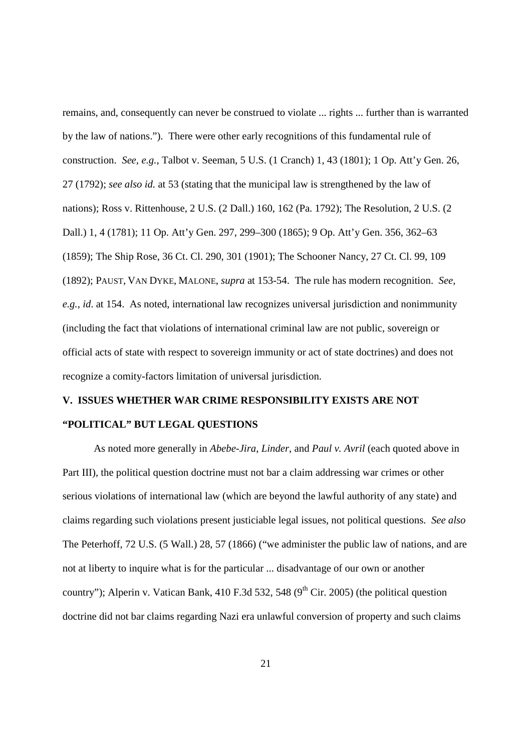remains, and, consequently can never be construed to violate ... rights ... further than is warranted by the law of nations."). There were other early recognitions of this fundamental rule of construction. *See, e.g.*, Talbot v. Seeman, 5 U.S. (1 Cranch) 1, 43 (1801); 1 Op. Att'y Gen. 26, 27 (1792); *see also id.* at 53 (stating that the municipal law is strengthened by the law of nations); Ross v. Rittenhouse, 2 U.S. (2 Dall.) 160, 162 (Pa. 1792); The Resolution, 2 U.S. (2 Dall.) 1, 4 (1781); 11 Op. Att'y Gen. 297, 299–300 (1865); 9 Op. Att'y Gen. 356, 362–63 (1859); The Ship Rose, 36 Ct. Cl. 290, 301 (1901); The Schooner Nancy, 27 Ct. Cl. 99, 109 (1892); PAUST, VAN DYKE, MALONE, *supra* at 153-54. The rule has modern recognition. *See, e.g.*, *id*. at 154. As noted, international law recognizes universal jurisdiction and nonimmunity (including the fact that violations of international criminal law are not public, sovereign or official acts of state with respect to sovereign immunity or act of state doctrines) and does not recognize a comity-factors limitation of universal jurisdiction.

# **V. ISSUES WHETHER WAR CRIME RESPONSIBILITY EXISTS ARE NOT "POLITICAL" BUT LEGAL QUESTIONS**

 As noted more generally in *Abebe-Jira*, *Linder*, and *Paul v. Avril* (each quoted above in Part III), the political question doctrine must not bar a claim addressing war crimes or other serious violations of international law (which are beyond the lawful authority of any state) and claims regarding such violations present justiciable legal issues, not political questions. *See also* The Peterhoff, 72 U.S. (5 Wall.) 28, 57 (1866) ("we administer the public law of nations, and are not at liberty to inquire what is for the particular ... disadvantage of our own or another country"); Alperin v. Vatican Bank, 410 F.3d 532, 548 ( $9<sup>th</sup>$  Cir. 2005) (the political question doctrine did not bar claims regarding Nazi era unlawful conversion of property and such claims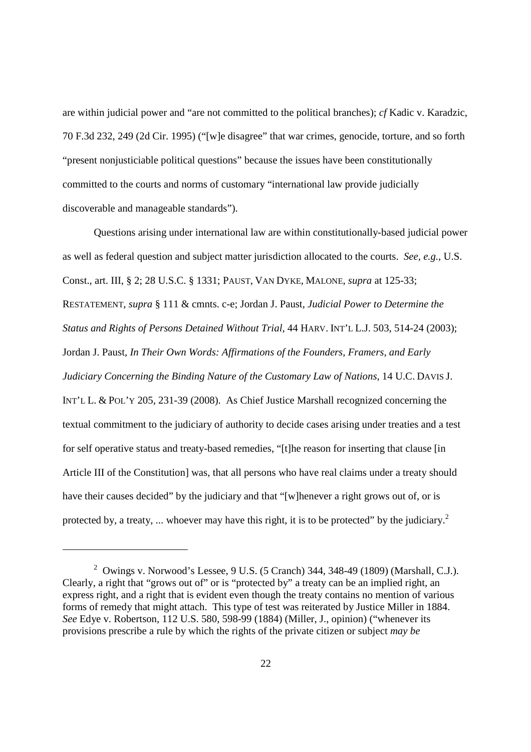are within judicial power and "are not committed to the political branches); *cf* Kadic v. Karadzic, 70 F.3d 232, 249 (2d Cir. 1995) ("[w]e disagree" that war crimes, genocide, torture, and so forth "present nonjusticiable political questions" because the issues have been constitutionally committed to the courts and norms of customary "international law provide judicially discoverable and manageable standards").

 Questions arising under international law are within constitutionally-based judicial power as well as federal question and subject matter jurisdiction allocated to the courts. *See, e.g.*, U.S. Const., art. III, § 2; 28 U.S.C. § 1331; PAUST, VAN DYKE, MALONE, *supra* at 125-33; RESTATEMENT, *supra* § 111 & cmnts. c-e; Jordan J. Paust, *Judicial Power to Determine the Status and Rights of Persons Detained Without Trial*, 44 HARV. INT'L L.J. 503, 514-24 (2003); Jordan J. Paust, *In Their Own Words: Affirmations of the Founders, Framers, and Early Judiciary Concerning the Binding Nature of the Customary Law of Nations*, 14 U.C. DAVIS J. INT'L L. & POL'Y 205, 231-39 (2008). As Chief Justice Marshall recognized concerning the textual commitment to the judiciary of authority to decide cases arising under treaties and a test for self operative status and treaty-based remedies, "[t]he reason for inserting that clause [in Article III of the Constitution] was, that all persons who have real claims under a treaty should have their causes decided" by the judiciary and that "[w]henever a right grows out of, or is protected by, a treaty, ... whoever may have this right, it is to be protected" by the judiciary.<sup>2</sup>

-

<sup>&</sup>lt;sup>2</sup> Owings v. Norwood's Lessee, 9 U.S. (5 Cranch) 344, 348-49 (1809) (Marshall, C.J.). Clearly, a right that "grows out of" or is "protected by" a treaty can be an implied right, an express right, and a right that is evident even though the treaty contains no mention of various forms of remedy that might attach. This type of test was reiterated by Justice Miller in 1884. *See* Edye v. Robertson, 112 U.S. 580, 598-99 (1884) (Miller, J., opinion) ("whenever its provisions prescribe a rule by which the rights of the private citizen or subject *may be*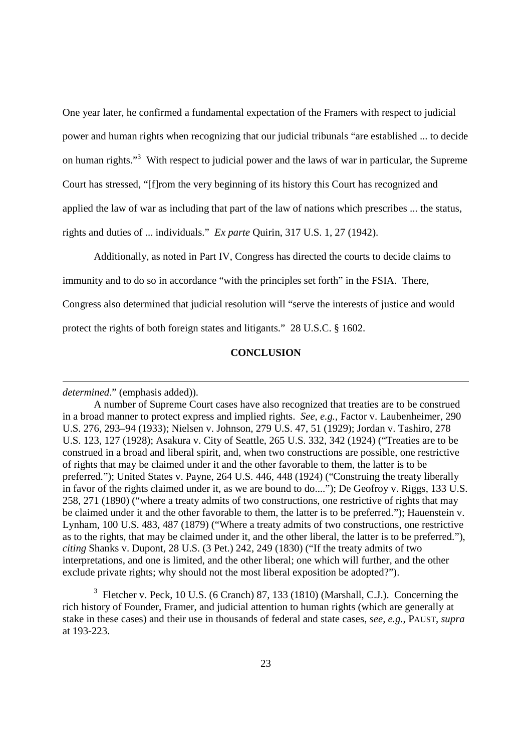One year later, he confirmed a fundamental expectation of the Framers with respect to judicial power and human rights when recognizing that our judicial tribunals "are established ... to decide on human rights."<sup>3</sup> With respect to judicial power and the laws of war in particular, the Supreme Court has stressed, "[f]rom the very beginning of its history this Court has recognized and applied the law of war as including that part of the law of nations which prescribes ... the status, rights and duties of ... individuals." *Ex parte* Quirin, 317 U.S. 1, 27 (1942).

Additionally, as noted in Part IV, Congress has directed the courts to decide claims to

immunity and to do so in accordance "with the principles set forth" in the FSIA. There,

Congress also determined that judicial resolution will "serve the interests of justice and would

protect the rights of both foreign states and litigants." 28 U.S.C. § 1602.

## **CONCLUSION**

*determined*." (emphasis added)).

-

 $3$  Fletcher v. Peck, 10 U.S. (6 Cranch) 87, 133 (1810) (Marshall, C.J.). Concerning the rich history of Founder, Framer, and judicial attention to human rights (which are generally at stake in these cases) and their use in thousands of federal and state cases, *see, e.g.*, PAUST, *supra* at 193-223.

A number of Supreme Court cases have also recognized that treaties are to be construed in a broad manner to protect express and implied rights. *See, e.g.*, Factor v. Laubenheimer, 290 U.S. 276, 293–94 (1933); Nielsen v. Johnson, 279 U.S. 47, 51 (1929); Jordan v. Tashiro, 278 U.S. 123, 127 (1928); Asakura v. City of Seattle, 265 U.S. 332, 342 (1924) ("Treaties are to be construed in a broad and liberal spirit, and, when two constructions are possible, one restrictive of rights that may be claimed under it and the other favorable to them, the latter is to be preferred."); United States v. Payne, 264 U.S. 446, 448 (1924) ("Construing the treaty liberally in favor of the rights claimed under it, as we are bound to do...."); De Geofroy v. Riggs, 133 U.S. 258, 271 (1890) ("where a treaty admits of two constructions, one restrictive of rights that may be claimed under it and the other favorable to them, the latter is to be preferred."); Hauenstein v. Lynham, 100 U.S. 483, 487 (1879) ("Where a treaty admits of two constructions, one restrictive as to the rights, that may be claimed under it, and the other liberal, the latter is to be preferred."), *citing* Shanks v. Dupont, 28 U.S. (3 Pet.) 242, 249 (1830) ("If the treaty admits of two interpretations, and one is limited, and the other liberal; one which will further, and the other exclude private rights; why should not the most liberal exposition be adopted?").